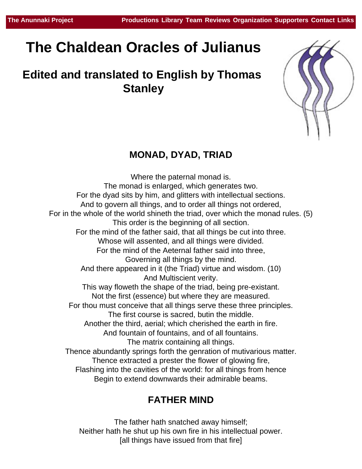# **The Chaldean Oracles of Julianus**

# **Edited and translated to English by Thomas Stanley**



### **MONAD, DYAD, TRIAD**

Where the paternal monad is. The monad is enlarged, which generates two. For the dyad sits by him, and glitters with intellectual sections. And to govern all things, and to order all things not ordered, For in the whole of the world shineth the triad, over which the monad rules. (5) This order is the beginning of all section. For the mind of the father said, that all things be cut into three. Whose will assented, and all things were divided. For the mind of the Aeternal father said into three, Governing all things by the mind. And there appeared in it (the Triad) virtue and wisdom. (10) And Multiscient verity. This way floweth the shape of the triad, being pre-existant. Not the first (essence) but where they are measured. For thou must conceive that all things serve these three principles. The first course is sacred, butin the middle. Another the third, aerial; which cherished the earth in fire. And fountain of fountains, and of all fountains. The matrix containing all things. Thence abundantly springs forth the genration of mutivarious matter. Thence extracted a prester the flower of glowing fire, Flashing into the cavities of the world: for all things from hence Begin to extend downwards their admirable beams.

### **FATHER MIND**

The father hath snatched away himself; Neither hath he shut up his own fire in his intellectual power. [all things have issued from that fire]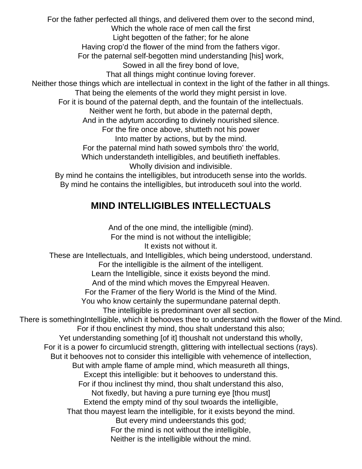For the father perfected all things, and delivered them over to the second mind,

Which the whole race of men call the first

Light begotten of the father; for he alone

Having crop'd the flower of the mind from the fathers vigor.

For the paternal self-begotten mind understanding [his] work,

Sowed in all the firey bond of love,

That all things might continue loving forever.

Neither those things which are intellectual in context in the light of the father in all things.

That being the elements of the world they might persist in love.

For it is bound of the paternal depth, and the fountain of the intellectuals.

Neither went he forth, but abode in the paternal depth,

And in the adytum according to divinely nourished silence.

For the fire once above, shutteth not his power

Into matter by actions, but by the mind.

For the paternal mind hath sowed symbols thro' the world,

Which understandeth intelligibles, and beutifieth ineffables.

Wholly division and indivisible.

By mind he contains the intelligibles, but introduceth sense into the worlds. By mind he contains the intelligibles, but introduceth soul into the world.

# **MIND INTELLIGIBLES INTELLECTUALS**

And of the one mind, the intelligible (mind). For the mind is not without the intelligible; It exists not without it. These are Intellectuals, and Intelligibles, which being understood, understand. For the intelligible is the ailment of the intelligent. Learn the Intelligible, since it exists beyond the mind. And of the mind which moves the Empyreal Heaven. For the Framer of the fiery World is the Mind of the Mind. You who know certainly the supermundane paternal depth. The intelligible is predominant over all section. There is somethingIntelligible, which it behooves thee to understand with the flower of the Mind. For if thou enclinest thy mind, thou shalt understand this also; Yet understanding something [of it] thoushalt not understand this wholly, For it is a power fo circumlucid strength, glittering with intellectual sections (rays). But it behooves not to consider this intelligible with vehemence of intellection, But with ample flame of ample mind, which measureth all things, Except this intelligible: but it behooves to understand this. For if thou inclinest thy mind, thou shalt understand this also, Not fixedly, but having a pure turning eye [thou must] Extend the empty mind of thy soul twoards the intelligible, That thou mayest learn the intelligible, for it exists beyond the mind. But every mind undeerstands this god; For the mind is not without the intelligible, Neither is the intelligible without the mind.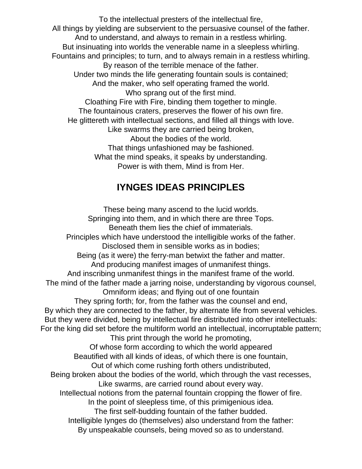To the intellectual presters of the intellectual fire, All things by yielding are subservient to the persuasive counsel of the father. And to understand, and always to remain in a restless whirling. But insinuating into worlds the venerable name in a sleepless whirling. Fountains and principles; to turn, and to always remain in a restless whirling. By reason of the terrible menace of the father. Under two minds the life generating fountain souls is contained; And the maker, who self operating framed the world. Who sprang out of the first mind. Cloathing Fire with Fire, binding them together to mingle. The fountainous craters, preserves the flower of his own fire. He glittereth with intellectual sections, and filled all things with love. Like swarms they are carried being broken, About the bodies of the world. That things unfashioned may be fashioned. What the mind speaks, it speaks by understanding. Power is with them, Mind is from Her.

#### **IYNGES IDEAS PRINCIPLES**

These being many ascend to the lucid worlds. Springing into them, and in which there are three Tops. Beneath them lies the chief of immaterials. Principles which have understood the intelligible works of the father. Disclosed them in sensible works as in bodies; Being (as it were) the ferry-man betwixt the father and matter. And producing manifest images of unmanifest things. And inscribing unmanifest things in the manifest frame of the world. The mind of the father made a jarring noise, understanding by vigorous counsel, Omniform ideas; and flying out of one fountain They spring forth; for, from the father was the counsel and end, By which they are connected to the father, by alternate life from several vehicles. But they were divided, being by intellectual fire distributed into other intellectuals: For the king did set before the multiform world an intellectual, incorruptable pattern; This print through the world he promoting, Of whose form according to which the world appeared Beautified with all kinds of ideas, of which there is one fountain, Out of which come rushing forth others undistributed, Being broken about the bodies of the world, which through the vast recesses, Like swarms, are carried round about every way. Intellectual notions from the paternal fountain cropping the flower of fire. In the point of sleepless time, of this primigenious idea. The first self-budding fountain of the father budded. Intelligible Iynges do (themselves) also understand from the father: By unspeakable counsels, being moved so as to understand.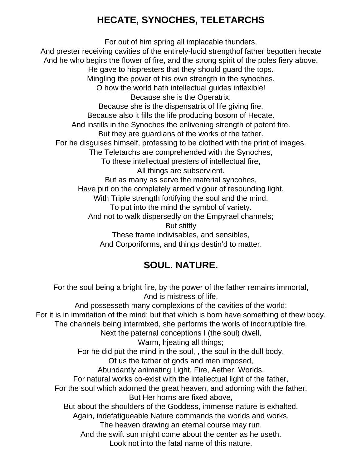## **HECATE, SYNOCHES, TELETARCHS**

For out of him spring all implacable thunders, And prester receiving cavities of the entirely-lucid strengthof father begotten hecate And he who begirs the flower of fire, and the strong spirit of the poles fiery above. He gave to hispresters that they should guard the tops. Mingling the power of his own strength in the synoches. O how the world hath intellectual guides inflexible! Because she is the Operatrix, Because she is the dispensatrix of life giving fire. Because also it fills the life producing bosom of Hecate. And instills in the Synoches the enlivening strength of potent fire. But they are guardians of the works of the father. For he disguises himself, professing to be clothed with the print of images. The Teletarchs are comprehended with the Synoches, To these intellectual presters of intellectual fire, All things are subservient. But as many as serve the material syncohes, Have put on the completely armed vigour of resounding light. With Triple strength fortifying the soul and the mind. To put into the mind the symbol of variety. And not to walk dispersedly on the Empyrael channels; But stiffly These frame indivisables, and sensibles, And Corporiforms, and things destin'd to matter.

### **SOUL. NATURE.**

For the soul being a bright fire, by the power of the father remains immortal, And is mistress of life, And possesseth many complexions of the cavities of the world: For it is in immitation of the mind; but that which is born have something of thew body. The channels being intermixed, she performs the worls of incorruptible fire. Next the paternal conceptions I (the soul) dwell, Warm, hjeating all things; For he did put the mind in the soul, , the soul in the dull body. Of us the father of gods and men imposed, Abundantly animating Light, Fire, Aether, Worlds. For natural works co-exist with the intellectual light of the father, For the soul which adorned the great heaven, and adorning with the father. But Her horns are fixed above, But about the shoulders of the Goddess, immense nature is exhalted. Again, indefatigueable Nature commands the worlds and works. The heaven drawing an eternal course may run. And the swift sun might come about the center as he useth. Look not into the fatal name of this nature.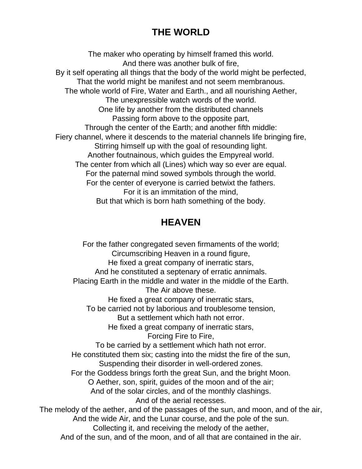# **THE WORLD**

The maker who operating by himself framed this world. And there was another bulk of fire, By it self operating all things that the body of the world might be perfected, That the world might be manifest and not seem membranous. The whole world of Fire, Water and Earth., and all nourishing Aether, The unexpressible watch words of the world. One life by another from the distributed channels Passing form above to the opposite part, Through the center of the Earth; and another fifth middle: Fiery channel, where it descends to the material channels life bringing fire, Stirring himself up with the goal of resounding light. Another foutnainous, which guides the Empyreal world. The center from which all (Lines) which way so ever are equal. For the paternal mind sowed symbols through the world. For the center of everyone is carried betwixt the fathers. For it is an immitation of the mind, But that which is born hath something of the body.

#### **HEAVEN**

For the father congregated seven firmaments of the world; Circumscribing Heaven in a round figure, He fixed a great company of inerratic stars, And he constituted a septenary of erratic annimals. Placing Earth in the middle and water in the middle of the Earth. The Air above these. He fixed a great company of inerratic stars, To be carried not by laborious and troublesome tension, But a settlement which hath not error. He fixed a great company of inerratic stars, Forcing Fire to Fire, To be carried by a settlement which hath not error. He constituted them six; casting into the midst the fire of the sun, Suspending their disorder in well-ordered zones. For the Goddess brings forth the great Sun, and the bright Moon. O Aether, son, spirit, guides of the moon and of the air; And of the solar circles, and of the monthly clashings. And of the aerial recesses. The melody of the aether, and of the passages of the sun, and moon, and of the air, And the wide Air, and the Lunar course, and the pole of the sun. Collecting it, and receiving the melody of the aether, And of the sun, and of the moon, and of all that are contained in the air.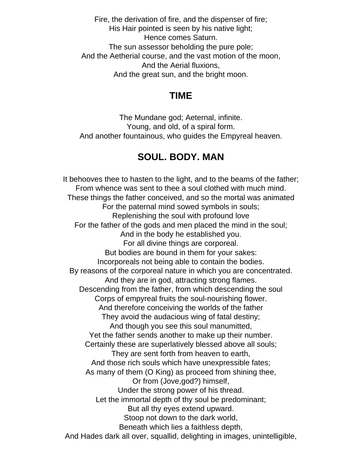Fire, the derivation of fire, and the dispenser of fire; His Hair pointed is seen by his native light; Hence comes Saturn. The sun assessor beholding the pure pole; And the Aetherial course, and the vast motion of the moon, And the Aerial fluxions, And the great sun, and the bright moon.

#### **TIME**

The Mundane god; Aeternal, infinite. Young, and old, of a spiral form. And another fountainous, who guides the Empyreal heaven.

#### **SOUL. BODY. MAN**

It behooves thee to hasten to the light, and to the beams of the father; From whence was sent to thee a soul clothed with much mind. These things the father conceived, and so the mortal was animated For the paternal mind sowed symbols in souls; Replenishing the soul with profound love For the father of the gods and men placed the mind in the soul; And in the body he established you. For all divine things are corporeal. But bodies are bound in them for your sakes: Incorporeals not being able to contain the bodies. By reasons of the corporeal nature in which you are concentrated. And they are in god, attracting strong flames. Descending from the father, from which descending the soul Corps of empyreal fruits the soul-nourishing flower. And therefore conceiving the worlds of the father They avoid the audacious wing of fatal destiny; And though you see this soul manumitted, Yet the father sends another to make up their number. Certainly these are superlatively blessed above all souls; They are sent forth from heaven to earth, And those rich souls which have unexpressible fates; As many of them (O King) as proceed from shining thee, Or from (Jove,god?) himself, Under the strong power of his thread. Let the immortal depth of thy soul be predominant; But all thy eyes extend upward. Stoop not down to the dark world, Beneath which lies a faithless depth, And Hades dark all over, squallid, delighting in images, unintelligible,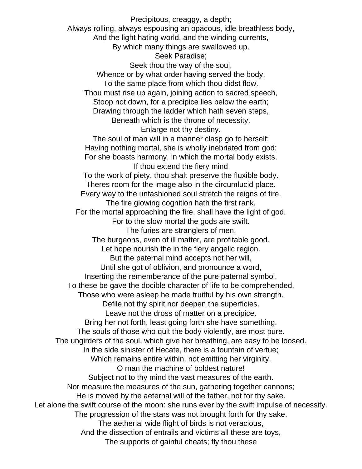Precipitous, creaggy, a depth; Always rolling, always espousing an opacous, idle breathless body, And the light hating world, and the winding currents, By which many things are swallowed up. Seek Paradise; Seek thou the way of the soul, Whence or by what order having served the body, To the same place from which thou didst flow. Thou must rise up again, joining action to sacred speech, Stoop not down, for a precipice lies below the earth; Drawing through the ladder which hath seven steps, Beneath which is the throne of necessity. Enlarge not thy destiny. The soul of man will in a manner clasp go to herself; Having nothing mortal, she is wholly inebriated from god: For she boasts harmony, in which the mortal body exists. If thou extend the fiery mind To the work of piety, thou shalt preserve the fluxible body. Theres room for the image also in the circumlucid place. Every way to the unfashioned soul stretch the reigns of fire. The fire glowing cognition hath the first rank. For the mortal approaching the fire, shall have the light of god. For to the slow mortal the gods are swift. The furies are stranglers of men. The burgeons, even of ill matter, are profitable good. Let hope nourish the in the fiery angelic region. But the paternal mind accepts not her will, Until she got of oblivion, and pronounce a word, Inserting the rememberance of the pure paternal symbol. To these be gave the docible character of life to be comprehended. Those who were asleep he made fruitful by his own strength. Defile not thy spirit nor deepen the superficies. Leave not the dross of matter on a precipice. Bring her not forth, least going forth she have something. The souls of those who quit the body violently, are most pure. The ungirders of the soul, which give her breathing, are easy to be loosed. In the side sinister of Hecate, there is a fountain of vertue; Which remains entire within, not emitting her virginity. O man the machine of boldest nature! Subject not to thy mind the vast measures of the earth. Nor measure the measures of the sun, gathering together cannons; He is moved by the aeternal will of the father, not for thy sake. Let alone the swift course of the moon: she runs ever by the swift impulse of necessity. The progression of the stars was not brought forth for thy sake. The aetherial wide flight of birds is not veracious, And the dissection of entrails and victims all these are toys, The supports of gainful cheats; fly thou these